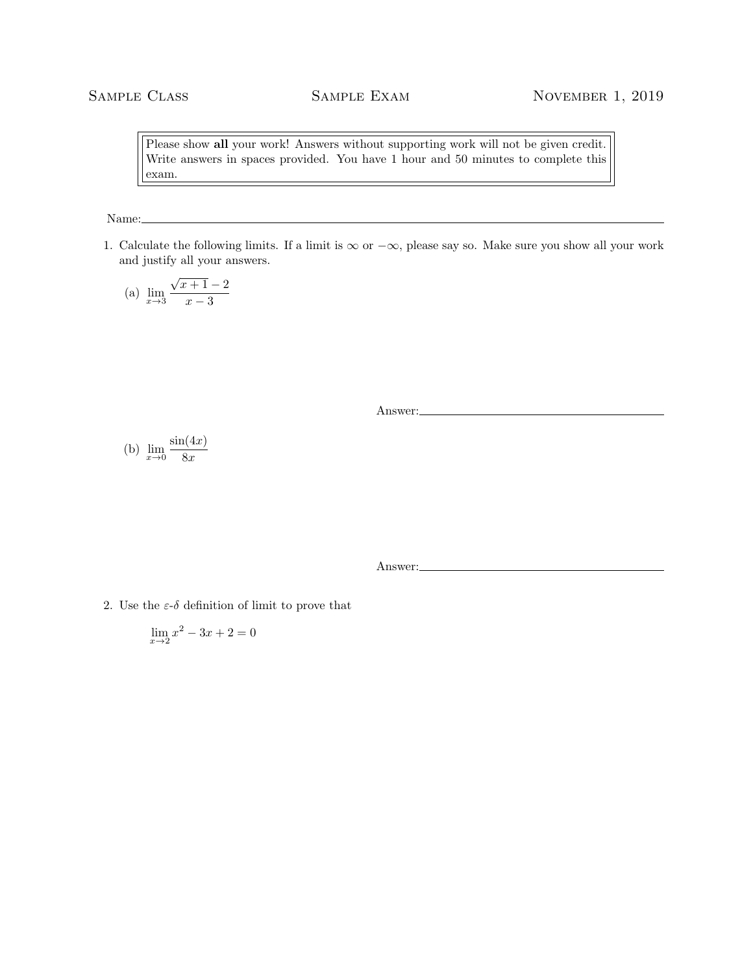Please show all your work! Answers without supporting work will not be given credit. Write answers in spaces provided. You have 1 hour and 50 minutes to complete this exam.

Name:

1. Calculate the following limits. If a limit is  $\infty$  or  $-\infty$ , please say so. Make sure you show all your work and justify all your answers.

(a) 
$$
\lim_{x \to 3} \frac{\sqrt{x+1} - 2}{x - 3}
$$

Answer:

(b) 
$$
\lim_{x \to 0} \frac{\sin(4x)}{8x}
$$

Answer:

2. Use the  $\varepsilon$ -δ definition of limit to prove that

$$
\lim_{x \to 2} x^2 - 3x + 2 = 0
$$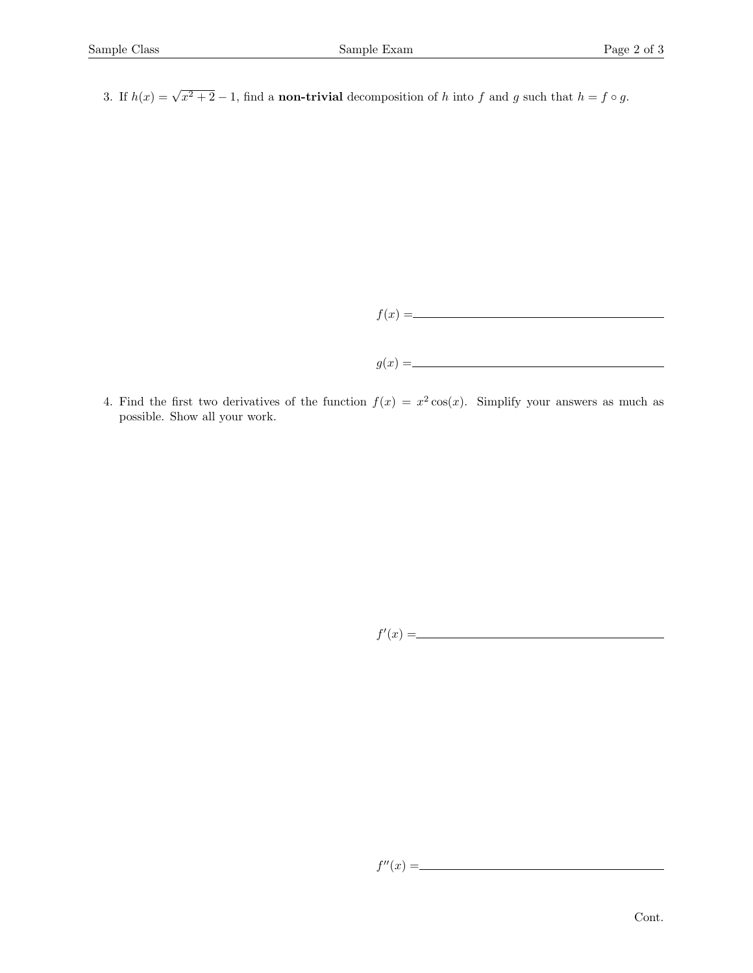3. If  $h(x) = \sqrt{x^2 + 2} - 1$ , find a **non-trivial** decomposition of h into f and g such that  $h = f \circ g$ .



4. Find the first two derivatives of the function  $f(x) = x^2 \cos(x)$ . Simplify your answers as much as possible. Show all your work.

$$
f'(x) = \underline{\hspace{2cm}}
$$